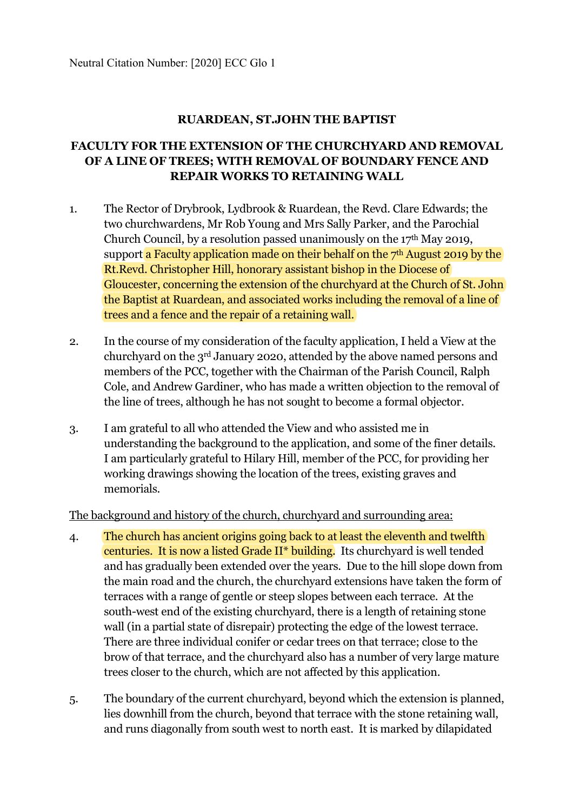### **RUARDEAN, ST.JOHN THE BAPTIST**

# **FACULTY FOR THE EXTENSION OF THE CHURCHYARD AND REMOVAL OF A LINE OF TREES; WITH REMOVAL OF BOUNDARY FENCE AND REPAIR WORKS TO RETAINING WALL**

- 1. The Rector of Drybrook, Lydbrook & Ruardean, the Revd. Clare Edwards; the two churchwardens, Mr Rob Young and Mrs Sally Parker, and the Parochial Church Council, by a resolution passed unanimously on the  $17<sup>th</sup>$  May 2019, support a Faculty application made on their behalf on the  $7<sup>th</sup>$  August 2019 by the Rt.Revd. Christopher Hill, honorary assistant bishop in the Diocese of Gloucester, concerning the extension of the churchyard at the Church of St. John the Baptist at Ruardean, and associated works including the removal of a line of trees and a fence and the repair of a retaining wall.
- 2. In the course of my consideration of the faculty application, I held a View at the churchyard on the 3rd January 2020, attended by the above named persons and members of the PCC, together with the Chairman of the Parish Council, Ralph Cole, and Andrew Gardiner, who has made a written objection to the removal of the line of trees, although he has not sought to become a formal objector.
- 3. I am grateful to all who attended the View and who assisted me in understanding the background to the application, and some of the finer details. I am particularly grateful to Hilary Hill, member of the PCC, for providing her working drawings showing the location of the trees, existing graves and memorials.

The background and history of the church, churchyard and surrounding area:

- 4. The church has ancient origins going back to at least the eleventh and twelfth centuries. It is now a listed Grade II\* building. Its churchyard is well tended and has gradually been extended over the years. Due to the hill slope down from the main road and the church, the churchyard extensions have taken the form of terraces with a range of gentle or steep slopes between each terrace. At the south-west end of the existing churchyard, there is a length of retaining stone wall (in a partial state of disrepair) protecting the edge of the lowest terrace. There are three individual conifer or cedar trees on that terrace; close to the brow of that terrace, and the churchyard also has a number of very large mature trees closer to the church, which are not affected by this application.
- 5. The boundary of the current churchyard, beyond which the extension is planned, lies downhill from the church, beyond that terrace with the stone retaining wall, and runs diagonally from south west to north east. It is marked by dilapidated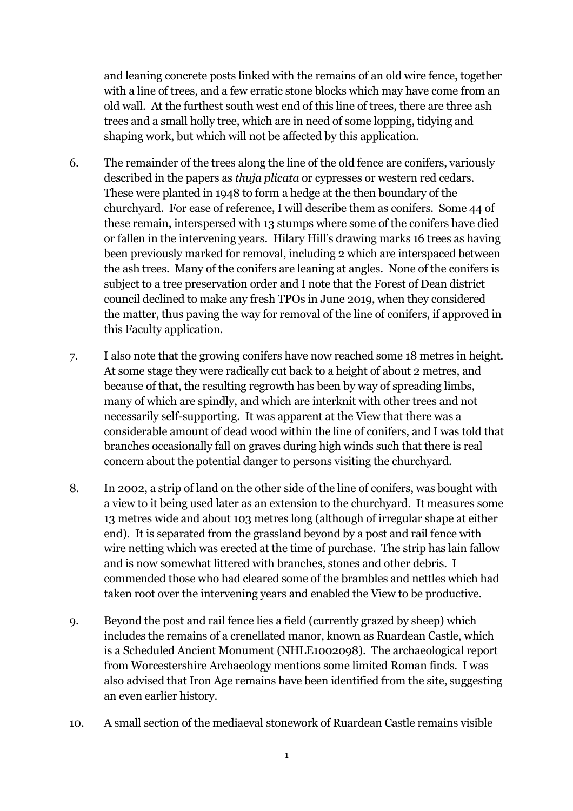and leaning concrete posts linked with the remains of an old wire fence, together with a line of trees, and a few erratic stone blocks which may have come from an old wall. At the furthest south west end of this line of trees, there are three ash trees and a small holly tree, which are in need of some lopping, tidying and shaping work, but which will not be affected by this application.

- 6. The remainder of the trees along the line of the old fence are conifers, variously described in the papers as *thuja plicata* or cypresses or western red cedars. These were planted in 1948 to form a hedge at the then boundary of the churchyard. For ease of reference, I will describe them as conifers. Some 44 of these remain, interspersed with 13 stumps where some of the conifers have died or fallen in the intervening years. Hilary Hill's drawing marks 16 trees as having been previously marked for removal, including 2 which are interspaced between the ash trees. Many of the conifers are leaning at angles. None of the conifers is subject to a tree preservation order and I note that the Forest of Dean district council declined to make any fresh TPOs in June 2019, when they considered the matter, thus paving the way for removal of the line of conifers, if approved in this Faculty application.
- 7. I also note that the growing conifers have now reached some 18 metres in height. At some stage they were radically cut back to a height of about 2 metres, and because of that, the resulting regrowth has been by way of spreading limbs, many of which are spindly, and which are interknit with other trees and not necessarily self-supporting. It was apparent at the View that there was a considerable amount of dead wood within the line of conifers, and I was told that branches occasionally fall on graves during high winds such that there is real concern about the potential danger to persons visiting the churchyard.
- 8. In 2002, a strip of land on the other side of the line of conifers, was bought with a view to it being used later as an extension to the churchyard. It measures some 13 metres wide and about 103 metres long (although of irregular shape at either end). It is separated from the grassland beyond by a post and rail fence with wire netting which was erected at the time of purchase. The strip has lain fallow and is now somewhat littered with branches, stones and other debris. I commended those who had cleared some of the brambles and nettles which had taken root over the intervening years and enabled the View to be productive.
- 9. Beyond the post and rail fence lies a field (currently grazed by sheep) which includes the remains of a crenellated manor, known as Ruardean Castle, which is a Scheduled Ancient Monument (NHLE1002098). The archaeological report from Worcestershire Archaeology mentions some limited Roman finds. I was also advised that Iron Age remains have been identified from the site, suggesting an even earlier history.
- 10. A small section of the mediaeval stonework of Ruardean Castle remains visible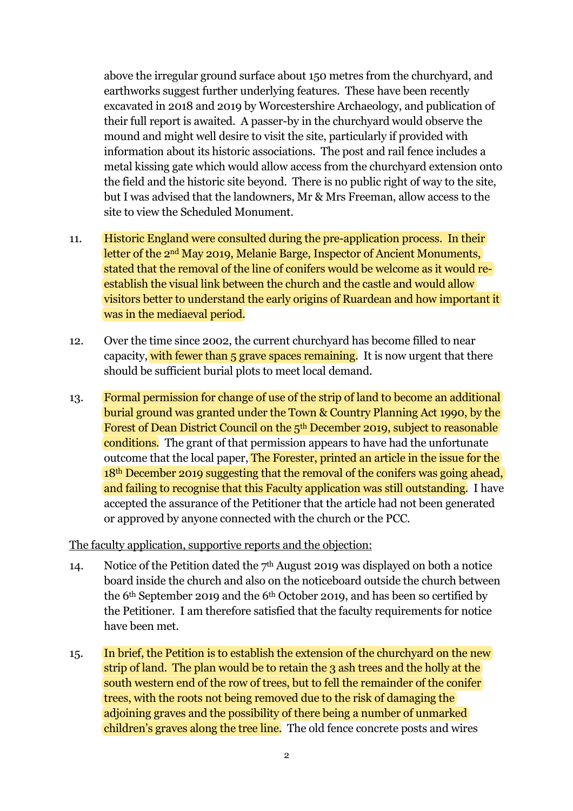above the irregular ground surface about 150 metres from the churchyard, and earthworks suggest further underlying features. These have been recently excavated in 2018 and 2019 by Worcestershire Archaeology, and publication of their full report is awaited. A passer-by in the churchyard would observe the mound and might well desire to visit the site, particularly if provided with information about its historic associations. The post and rail fence includes a metal kissing gate which would allow access from the churchyard extension onto the field and the historic site beyond. There is no public right of way to the site, but I was advised that the landowners, Mr & Mrs Freeman, allow access to the site to view the Scheduled Monument.

- 11. Historic England were consulted during the pre-application process. In their letter of the 2nd May 2019, Melanie Barge, Inspector of Ancient Monuments, stated that the removal of the line of conifers would be welcome as it would reestablish the visual link between the church and the castle and would allow visitors better to understand the early origins of Ruardean and how important it was in the mediaeval period.
- 12. Over the time since 2002, the current churchyard has become filled to near capacity, with fewer than 5 grave spaces remaining. It is now urgent that there should be sufficient burial plots to meet local demand.
- 13. Formal permission for change of use of the strip of land to become an additional burial ground was granted under the Town & Country Planning Act 1990, by the Forest of Dean District Council on the 5th December 2019, subject to reasonable conditions. The grant of that permission appears to have had the unfortunate outcome that the local paper, The Forester, printed an article in the issue for the 18th December 2019 suggesting that the removal of the conifers was going ahead, and failing to recognise that this Faculty application was still outstanding. I have accepted the assurance of the Petitioner that the article had not been generated or approved by anyone connected with the church or the PCC.

#### The faculty application, supportive reports and the objection:

- 14. Notice of the Petition dated the 7<sup>th</sup> August 2019 was displayed on both a notice board inside the church and also on the noticeboard outside the church between the 6th September 2019 and the 6th October 2019, and has been so certified by the Petitioner. I am therefore satisfied that the faculty requirements for notice have been met.
- 15. In brief, the Petition is to establish the extension of the churchyard on the new strip of land. The plan would be to retain the 3 ash trees and the holly at the south western end of the row of trees, but to fell the remainder of the conifer trees, with the roots not being removed due to the risk of damaging the adioining graves and the possibility of there being a number of unmarked children's graves along the tree line. The old fence concrete posts and wires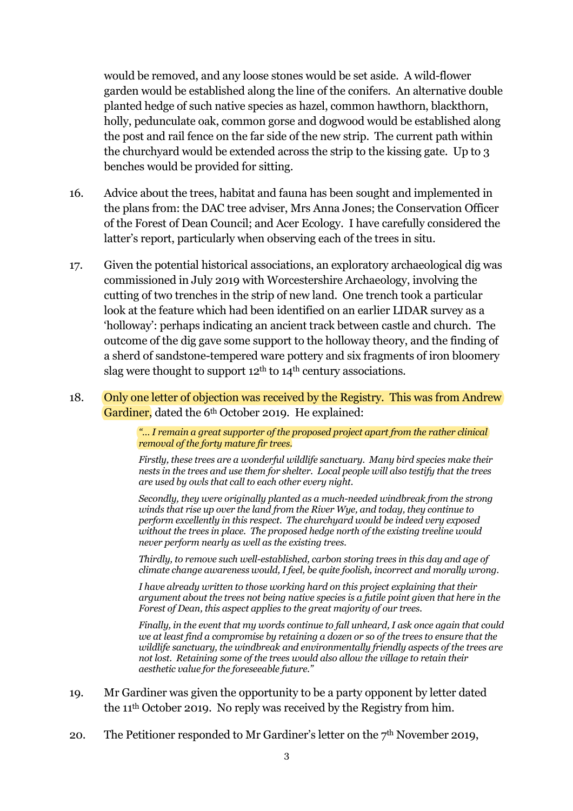would be removed, and any loose stones would be set aside. A wild-flower garden would be established along the line of the conifers. An alternative double planted hedge of such native species as hazel, common hawthorn, blackthorn, holly, pedunculate oak, common gorse and dogwood would be established along the post and rail fence on the far side of the new strip. The current path within the churchyard would be extended across the strip to the kissing gate. Up to 3 benches would be provided for sitting.

- 16. Advice about the trees, habitat and fauna has been sought and implemented in the plans from: the DAC tree adviser, Mrs Anna Jones; the Conservation Officer of the Forest of Dean Council; and Acer Ecology. I have carefully considered the latter's report, particularly when observing each of the trees in situ.
- 17. Given the potential historical associations, an exploratory archaeological dig was commissioned in July 2019 with Worcestershire Archaeology, involving the cutting of two trenches in the strip of new land. One trench took a particular look at the feature which had been identified on an earlier LIDAR survey as a 'holloway': perhaps indicating an ancient track between castle and church. The outcome of the dig gave some support to the holloway theory, and the finding of a sherd of sandstone-tempered ware pottery and six fragments of iron bloomery slag were thought to support  $12<sup>th</sup>$  to  $14<sup>th</sup>$  century associations.
- 18. Only one letter of objection was received by the Registry. This was from Andrew Gardiner, dated the 6<sup>th</sup> October 2019. He explained:

*"… I remain a great supporter of the proposed project apart from the rather clinical removal of the forty mature fir trees.*

*Firstly, these trees are a wonderful wildlife sanctuary. Many bird species make their nests in the trees and use them for shelter. Local people will also testify that the trees are used by owls that call to each other every night.*

*Secondly, they were originally planted as a much-needed windbreak from the strong winds that rise up over the land from the River Wye, and today, they continue to perform excellently in this respect. The churchyard would be indeed very exposed without the trees in place. The proposed hedge north of the existing treeline would never perform nearly as well as the existing trees.*

*Thirdly, to remove such well-established, carbon storing trees in this day and age of climate change awareness would, I feel, be quite foolish, incorrect and morally wrong.* 

*I have already written to those working hard on this project explaining that their argument about the trees not being native species is a futile point given that here in the Forest of Dean, this aspect applies to the great majority of our trees.*

*Finally, in the event that my words continue to fall unheard, I ask once again that could we at least find a compromise by retaining a dozen or so of the trees to ensure that the wildlife sanctuary, the windbreak and environmentally friendly aspects of the trees are not lost. Retaining some of the trees would also allow the village to retain their aesthetic value for the foreseeable future."*

- 19. Mr Gardiner was given the opportunity to be a party opponent by letter dated the 11th October 2019. No reply was received by the Registry from him.
- 20. The Petitioner responded to Mr Gardiner's letter on the 7<sup>th</sup> November 2019,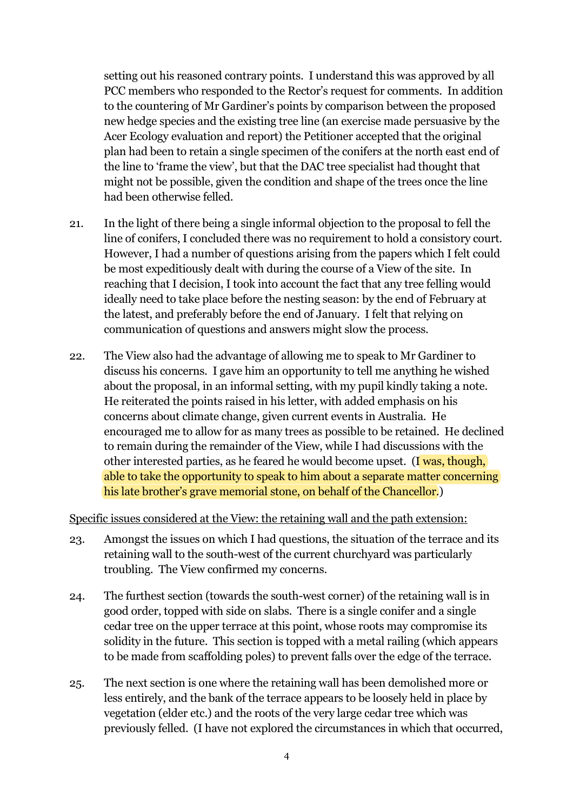setting out his reasoned contrary points. I understand this was approved by all PCC members who responded to the Rector's request for comments. In addition to the countering of Mr Gardiner's points by comparison between the proposed new hedge species and the existing tree line (an exercise made persuasive by the Acer Ecology evaluation and report) the Petitioner accepted that the original plan had been to retain a single specimen of the conifers at the north east end of the line to 'frame the view', but that the DAC tree specialist had thought that might not be possible, given the condition and shape of the trees once the line had been otherwise felled.

- 21. In the light of there being a single informal objection to the proposal to fell the line of conifers, I concluded there was no requirement to hold a consistory court. However, I had a number of questions arising from the papers which I felt could be most expeditiously dealt with during the course of a View of the site. In reaching that I decision, I took into account the fact that any tree felling would ideally need to take place before the nesting season: by the end of February at the latest, and preferably before the end of January. I felt that relying on communication of questions and answers might slow the process.
- 22. The View also had the advantage of allowing me to speak to Mr Gardiner to discuss his concerns. I gave him an opportunity to tell me anything he wished about the proposal, in an informal setting, with my pupil kindly taking a note. He reiterated the points raised in his letter, with added emphasis on his concerns about climate change, given current events in Australia. He encouraged me to allow for as many trees as possible to be retained. He declined to remain during the remainder of the View, while I had discussions with the other interested parties, as he feared he would become upset. (I was, though, able to take the opportunity to speak to him about a separate matter concerning his late brother's grave memorial stone, on behalf of the Chancellor.)

#### Specific issues considered at the View: the retaining wall and the path extension:

- 23. Amongst the issues on which I had questions, the situation of the terrace and its retaining wall to the south-west of the current churchyard was particularly troubling. The View confirmed my concerns.
- 24. The furthest section (towards the south-west corner) of the retaining wall is in good order, topped with side on slabs. There is a single conifer and a single cedar tree on the upper terrace at this point, whose roots may compromise its solidity in the future. This section is topped with a metal railing (which appears to be made from scaffolding poles) to prevent falls over the edge of the terrace.
- 25. The next section is one where the retaining wall has been demolished more or less entirely, and the bank of the terrace appears to be loosely held in place by vegetation (elder etc.) and the roots of the very large cedar tree which was previously felled. (I have not explored the circumstances in which that occurred,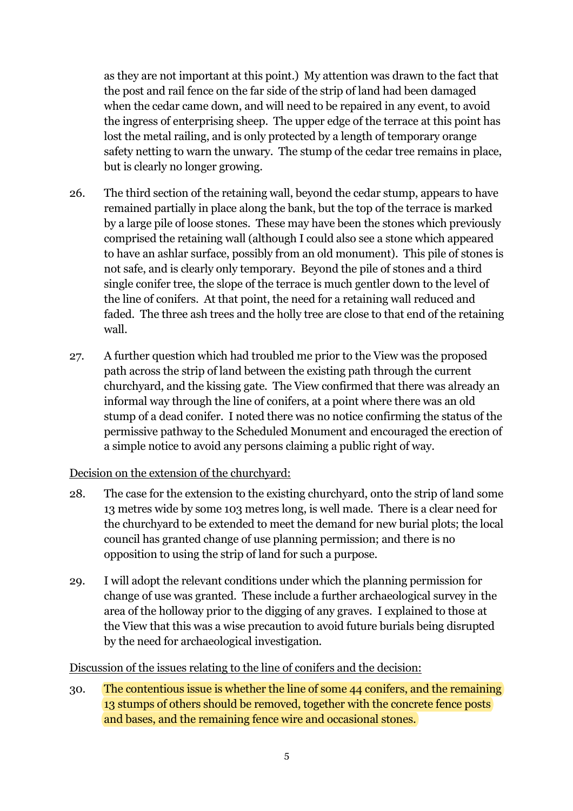as they are not important at this point.) My attention was drawn to the fact that the post and rail fence on the far side of the strip of land had been damaged when the cedar came down, and will need to be repaired in any event, to avoid the ingress of enterprising sheep. The upper edge of the terrace at this point has lost the metal railing, and is only protected by a length of temporary orange safety netting to warn the unwary. The stump of the cedar tree remains in place, but is clearly no longer growing.

- 26. The third section of the retaining wall, beyond the cedar stump, appears to have remained partially in place along the bank, but the top of the terrace is marked by a large pile of loose stones. These may have been the stones which previously comprised the retaining wall (although I could also see a stone which appeared to have an ashlar surface, possibly from an old monument). This pile of stones is not safe, and is clearly only temporary. Beyond the pile of stones and a third single conifer tree, the slope of the terrace is much gentler down to the level of the line of conifers. At that point, the need for a retaining wall reduced and faded. The three ash trees and the holly tree are close to that end of the retaining wall.
- 27. A further question which had troubled me prior to the View was the proposed path across the strip of land between the existing path through the current churchyard, and the kissing gate. The View confirmed that there was already an informal way through the line of conifers, at a point where there was an old stump of a dead conifer. I noted there was no notice confirming the status of the permissive pathway to the Scheduled Monument and encouraged the erection of a simple notice to avoid any persons claiming a public right of way.

### Decision on the extension of the churchyard:

- 28. The case for the extension to the existing churchyard, onto the strip of land some 13 metres wide by some 103 metres long, is well made. There is a clear need for the churchyard to be extended to meet the demand for new burial plots; the local council has granted change of use planning permission; and there is no opposition to using the strip of land for such a purpose.
- 29. I will adopt the relevant conditions under which the planning permission for change of use was granted. These include a further archaeological survey in the area of the holloway prior to the digging of any graves. I explained to those at the View that this was a wise precaution to avoid future burials being disrupted by the need for archaeological investigation.

#### Discussion of the issues relating to the line of conifers and the decision:

30. The contentious issue is whether the line of some 44 conifers, and the remaining 13 stumps of others should be removed, together with the concrete fence posts and bases, and the remaining fence wire and occasional stones.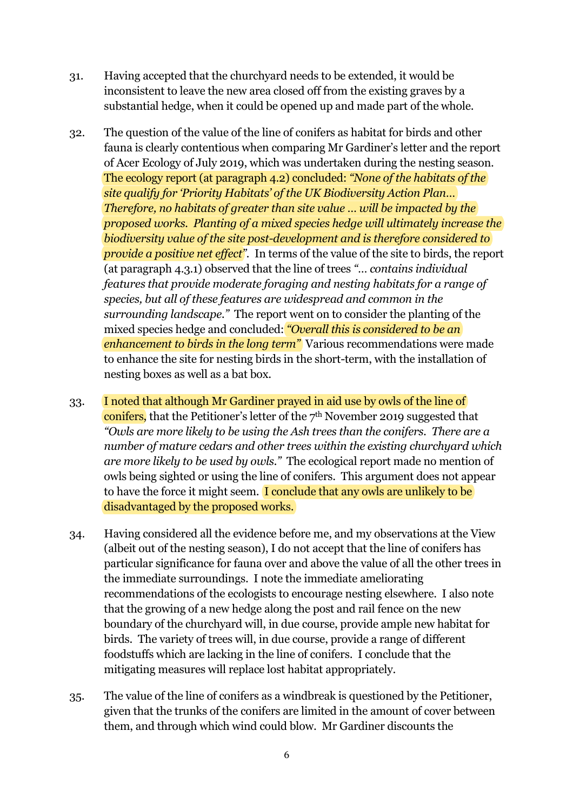- 31. Having accepted that the churchyard needs to be extended, it would be inconsistent to leave the new area closed off from the existing graves by a substantial hedge, when it could be opened up and made part of the whole.
- 32. The question of the value of the line of conifers as habitat for birds and other fauna is clearly contentious when comparing Mr Gardiner's letter and the report of Acer Ecology of July 2019, which was undertaken during the nesting season. The ecology report (at paragraph 4.2) concluded: *"None of the habitats of the site qualify for 'Priority Habitats' of the UK Biodiversity Action Plan… Therefore, no habitats of greater than site value … will be impacted by the proposed works. Planting of a mixed species hedge will ultimately increase the biodiversity value of the site post-development and is therefore considered to provide a positive net effect".* In terms of the value of the site to birds, the report (at paragraph 4.3.1) observed that the line of trees *"… contains individual features that provide moderate foraging and nesting habitats for a range of species, but all of these features are widespread and common in the surrounding landscape."* The report went on to consider the planting of the mixed species hedge and concluded: *"Overall this is considered to be an enhancement to birds in the long term"* Various recommendations were made to enhance the site for nesting birds in the short-term, with the installation of nesting boxes as well as a bat box.
- 33. I noted that although Mr Gardiner prayed in aid use by owls of the line of conifers, that the Petitioner's letter of the 7th November 2019 suggested that *"Owls are more likely to be using the Ash trees than the conifers. There are a number of mature cedars and other trees within the existing churchyard which are more likely to be used by owls."* The ecological report made no mention of owls being sighted or using the line of conifers. This argument does not appear to have the force it might seem. I conclude that any owls are unlikely to be disadvantaged by the proposed works.
- 34. Having considered all the evidence before me, and my observations at the View (albeit out of the nesting season), I do not accept that the line of conifers has particular significance for fauna over and above the value of all the other trees in the immediate surroundings. I note the immediate ameliorating recommendations of the ecologists to encourage nesting elsewhere. I also note that the growing of a new hedge along the post and rail fence on the new boundary of the churchyard will, in due course, provide ample new habitat for birds. The variety of trees will, in due course, provide a range of different foodstuffs which are lacking in the line of conifers. I conclude that the mitigating measures will replace lost habitat appropriately.
- 35. The value of the line of conifers as a windbreak is questioned by the Petitioner, given that the trunks of the conifers are limited in the amount of cover between them, and through which wind could blow. Mr Gardiner discounts the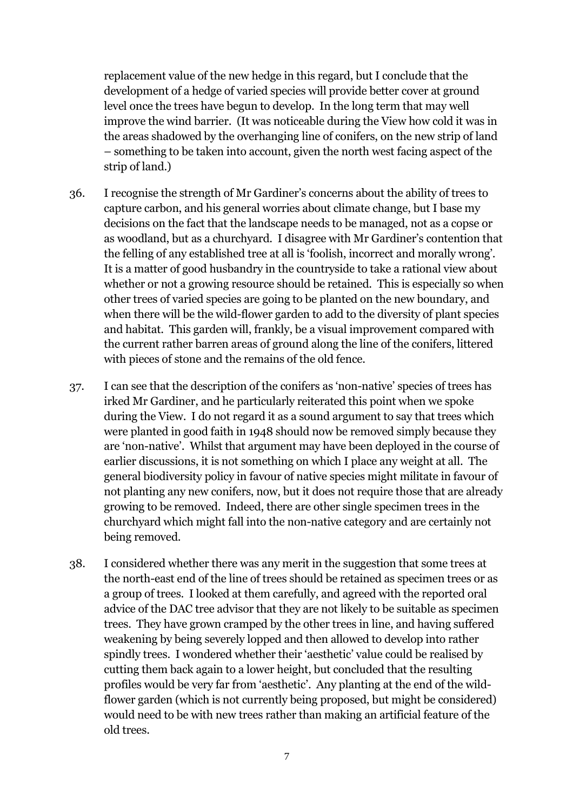replacement value of the new hedge in this regard, but I conclude that the development of a hedge of varied species will provide better cover at ground level once the trees have begun to develop. In the long term that may well improve the wind barrier. (It was noticeable during the View how cold it was in the areas shadowed by the overhanging line of conifers, on the new strip of land – something to be taken into account, given the north west facing aspect of the strip of land.)

- 36. I recognise the strength of Mr Gardiner's concerns about the ability of trees to capture carbon, and his general worries about climate change, but I base my decisions on the fact that the landscape needs to be managed, not as a copse or as woodland, but as a churchyard. I disagree with Mr Gardiner's contention that the felling of any established tree at all is 'foolish, incorrect and morally wrong'. It is a matter of good husbandry in the countryside to take a rational view about whether or not a growing resource should be retained. This is especially so when other trees of varied species are going to be planted on the new boundary, and when there will be the wild-flower garden to add to the diversity of plant species and habitat. This garden will, frankly, be a visual improvement compared with the current rather barren areas of ground along the line of the conifers, littered with pieces of stone and the remains of the old fence.
- 37. I can see that the description of the conifers as 'non-native' species of trees has irked Mr Gardiner, and he particularly reiterated this point when we spoke during the View. I do not regard it as a sound argument to say that trees which were planted in good faith in 1948 should now be removed simply because they are 'non-native'. Whilst that argument may have been deployed in the course of earlier discussions, it is not something on which I place any weight at all. The general biodiversity policy in favour of native species might militate in favour of not planting any new conifers, now, but it does not require those that are already growing to be removed. Indeed, there are other single specimen trees in the churchyard which might fall into the non-native category and are certainly not being removed.
- 38. I considered whether there was any merit in the suggestion that some trees at the north-east end of the line of trees should be retained as specimen trees or as a group of trees. I looked at them carefully, and agreed with the reported oral advice of the DAC tree advisor that they are not likely to be suitable as specimen trees. They have grown cramped by the other trees in line, and having suffered weakening by being severely lopped and then allowed to develop into rather spindly trees. I wondered whether their 'aesthetic' value could be realised by cutting them back again to a lower height, but concluded that the resulting profiles would be very far from 'aesthetic'. Any planting at the end of the wildflower garden (which is not currently being proposed, but might be considered) would need to be with new trees rather than making an artificial feature of the old trees.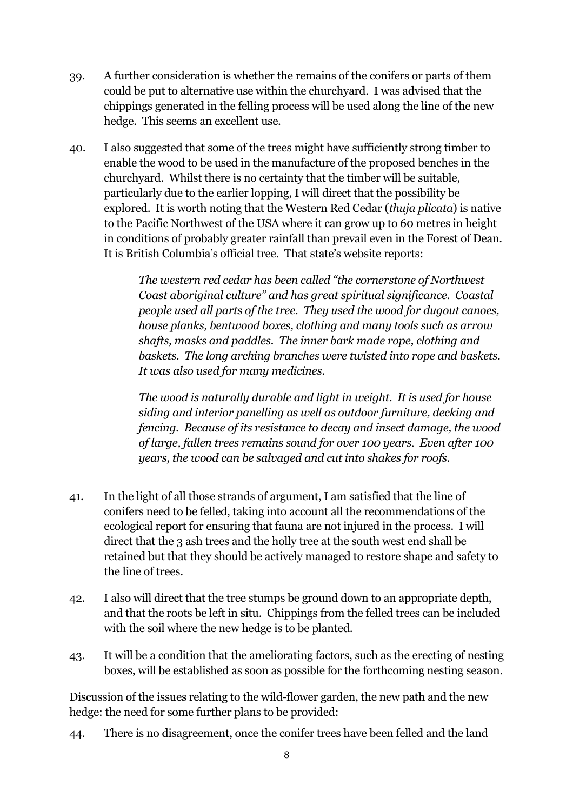- 39. A further consideration is whether the remains of the conifers or parts of them could be put to alternative use within the churchyard. I was advised that the chippings generated in the felling process will be used along the line of the new hedge. This seems an excellent use.
- 40. I also suggested that some of the trees might have sufficiently strong timber to enable the wood to be used in the manufacture of the proposed benches in the churchyard. Whilst there is no certainty that the timber will be suitable, particularly due to the earlier lopping, I will direct that the possibility be explored. It is worth noting that the Western Red Cedar (*thuja plicata*) is native to the Pacific Northwest of the USA where it can grow up to 60 metres in height in conditions of probably greater rainfall than prevail even in the Forest of Dean. It is British Columbia's official tree. That state's website reports:

*The western red cedar has been called "the cornerstone of Northwest Coast aboriginal culture" and has great spiritual significance. Coastal people used all parts of the tree. They used the wood for dugout canoes, house planks, bentwood boxes, clothing and many tools such as arrow shafts, masks and paddles. The inner bark made rope, clothing and baskets. The long arching branches were twisted into rope and baskets. It was also used for many medicines.* 

*The wood is naturally durable and light in weight. It is used for house siding and interior panelling as well as outdoor furniture, decking and fencing. Because of its resistance to decay and insect damage, the wood of large, fallen trees remains sound for over 100 years. Even after 100 years, the wood can be salvaged and cut into shakes for roofs.* 

- 41. In the light of all those strands of argument, I am satisfied that the line of conifers need to be felled, taking into account all the recommendations of the ecological report for ensuring that fauna are not injured in the process. I will direct that the 3 ash trees and the holly tree at the south west end shall be retained but that they should be actively managed to restore shape and safety to the line of trees.
- 42. I also will direct that the tree stumps be ground down to an appropriate depth, and that the roots be left in situ. Chippings from the felled trees can be included with the soil where the new hedge is to be planted.
- 43. It will be a condition that the ameliorating factors, such as the erecting of nesting boxes, will be established as soon as possible for the forthcoming nesting season.

Discussion of the issues relating to the wild-flower garden, the new path and the new hedge: the need for some further plans to be provided:

44. There is no disagreement, once the conifer trees have been felled and the land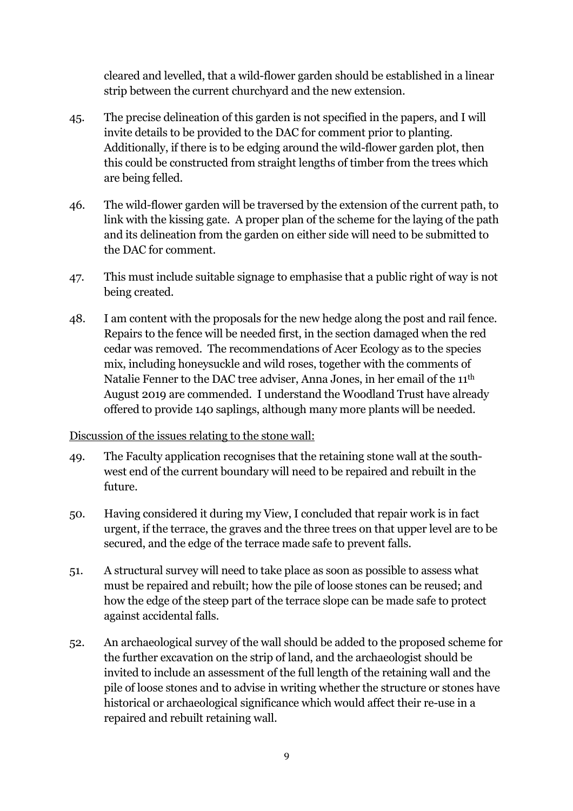cleared and levelled, that a wild-flower garden should be established in a linear strip between the current churchyard and the new extension.

- 45. The precise delineation of this garden is not specified in the papers, and I will invite details to be provided to the DAC for comment prior to planting. Additionally, if there is to be edging around the wild-flower garden plot, then this could be constructed from straight lengths of timber from the trees which are being felled.
- 46. The wild-flower garden will be traversed by the extension of the current path, to link with the kissing gate. A proper plan of the scheme for the laying of the path and its delineation from the garden on either side will need to be submitted to the DAC for comment.
- 47. This must include suitable signage to emphasise that a public right of way is not being created.
- 48. I am content with the proposals for the new hedge along the post and rail fence. Repairs to the fence will be needed first, in the section damaged when the red cedar was removed. The recommendations of Acer Ecology as to the species mix, including honeysuckle and wild roses, together with the comments of Natalie Fenner to the DAC tree adviser, Anna Jones, in her email of the 11th August 2019 are commended. I understand the Woodland Trust have already offered to provide 140 saplings, although many more plants will be needed.

#### Discussion of the issues relating to the stone wall:

- 49. The Faculty application recognises that the retaining stone wall at the southwest end of the current boundary will need to be repaired and rebuilt in the future.
- 50. Having considered it during my View, I concluded that repair work is in fact urgent, if the terrace, the graves and the three trees on that upper level are to be secured, and the edge of the terrace made safe to prevent falls.
- 51. A structural survey will need to take place as soon as possible to assess what must be repaired and rebuilt; how the pile of loose stones can be reused; and how the edge of the steep part of the terrace slope can be made safe to protect against accidental falls.
- 52. An archaeological survey of the wall should be added to the proposed scheme for the further excavation on the strip of land, and the archaeologist should be invited to include an assessment of the full length of the retaining wall and the pile of loose stones and to advise in writing whether the structure or stones have historical or archaeological significance which would affect their re-use in a repaired and rebuilt retaining wall.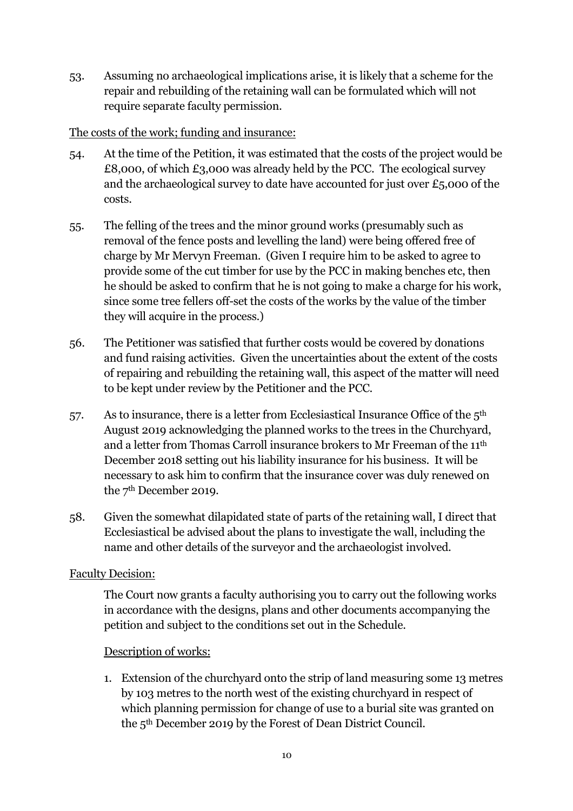53. Assuming no archaeological implications arise, it is likely that a scheme for the repair and rebuilding of the retaining wall can be formulated which will not require separate faculty permission.

## The costs of the work; funding and insurance:

- 54. At the time of the Petition, it was estimated that the costs of the project would be £8,000, of which £3,000 was already held by the PCC. The ecological survey and the archaeological survey to date have accounted for just over £5,000 of the costs.
- 55. The felling of the trees and the minor ground works (presumably such as removal of the fence posts and levelling the land) were being offered free of charge by Mr Mervyn Freeman. (Given I require him to be asked to agree to provide some of the cut timber for use by the PCC in making benches etc, then he should be asked to confirm that he is not going to make a charge for his work, since some tree fellers off-set the costs of the works by the value of the timber they will acquire in the process.)
- 56. The Petitioner was satisfied that further costs would be covered by donations and fund raising activities. Given the uncertainties about the extent of the costs of repairing and rebuilding the retaining wall, this aspect of the matter will need to be kept under review by the Petitioner and the PCC.
- 57. As to insurance, there is a letter from Ecclesiastical Insurance Office of the 5th August 2019 acknowledging the planned works to the trees in the Churchyard, and a letter from Thomas Carroll insurance brokers to Mr Freeman of the 11th December 2018 setting out his liability insurance for his business. It will be necessary to ask him to confirm that the insurance cover was duly renewed on the 7th December 2019.
- 58. Given the somewhat dilapidated state of parts of the retaining wall, I direct that Ecclesiastical be advised about the plans to investigate the wall, including the name and other details of the surveyor and the archaeologist involved.

### Faculty Decision:

The Court now grants a faculty authorising you to carry out the following works in accordance with the designs, plans and other documents accompanying the petition and subject to the conditions set out in the Schedule.

### Description of works:

1. Extension of the churchyard onto the strip of land measuring some 13 metres by 103 metres to the north west of the existing churchyard in respect of which planning permission for change of use to a burial site was granted on the 5th December 2019 by the Forest of Dean District Council.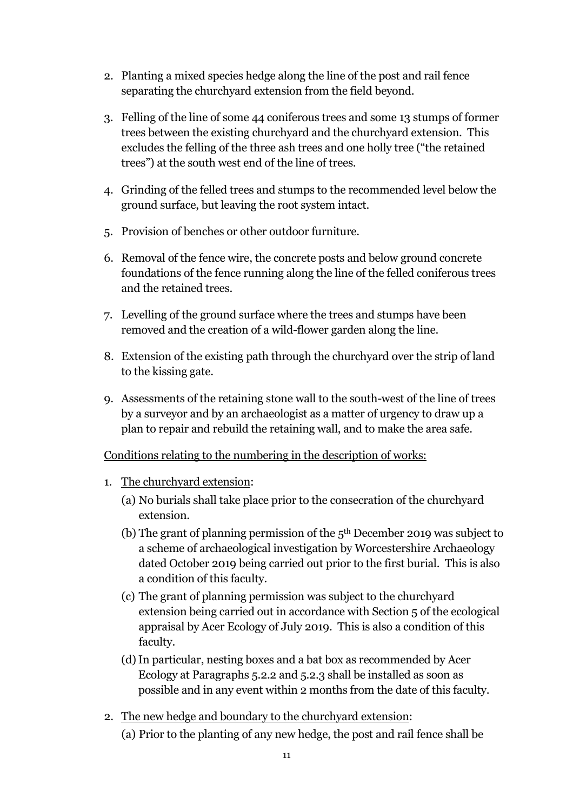- 2. Planting a mixed species hedge along the line of the post and rail fence separating the churchyard extension from the field beyond.
- 3. Felling of the line of some 44 coniferous trees and some 13 stumps of former trees between the existing churchyard and the churchyard extension. This excludes the felling of the three ash trees and one holly tree ("the retained trees") at the south west end of the line of trees.
- 4. Grinding of the felled trees and stumps to the recommended level below the ground surface, but leaving the root system intact.
- 5. Provision of benches or other outdoor furniture.
- 6. Removal of the fence wire, the concrete posts and below ground concrete foundations of the fence running along the line of the felled coniferous trees and the retained trees.
- 7. Levelling of the ground surface where the trees and stumps have been removed and the creation of a wild-flower garden along the line.
- 8. Extension of the existing path through the churchyard over the strip of land to the kissing gate.
- 9. Assessments of the retaining stone wall to the south-west of the line of trees by a surveyor and by an archaeologist as a matter of urgency to draw up a plan to repair and rebuild the retaining wall, and to make the area safe.

### Conditions relating to the numbering in the description of works:

- 1. The churchyard extension:
	- (a) No burials shall take place prior to the consecration of the churchyard extension.
	- (b) The grant of planning permission of the  $5<sup>th</sup>$  December 2019 was subject to a scheme of archaeological investigation by Worcestershire Archaeology dated October 2019 being carried out prior to the first burial. This is also a condition of this faculty.
	- (c) The grant of planning permission was subject to the churchyard extension being carried out in accordance with Section 5 of the ecological appraisal by Acer Ecology of July 2019. This is also a condition of this faculty.
	- (d)In particular, nesting boxes and a bat box as recommended by Acer Ecology at Paragraphs 5.2.2 and 5.2.3 shall be installed as soon as possible and in any event within 2 months from the date of this faculty.
- 2. The new hedge and boundary to the churchyard extension:
	- (a) Prior to the planting of any new hedge, the post and rail fence shall be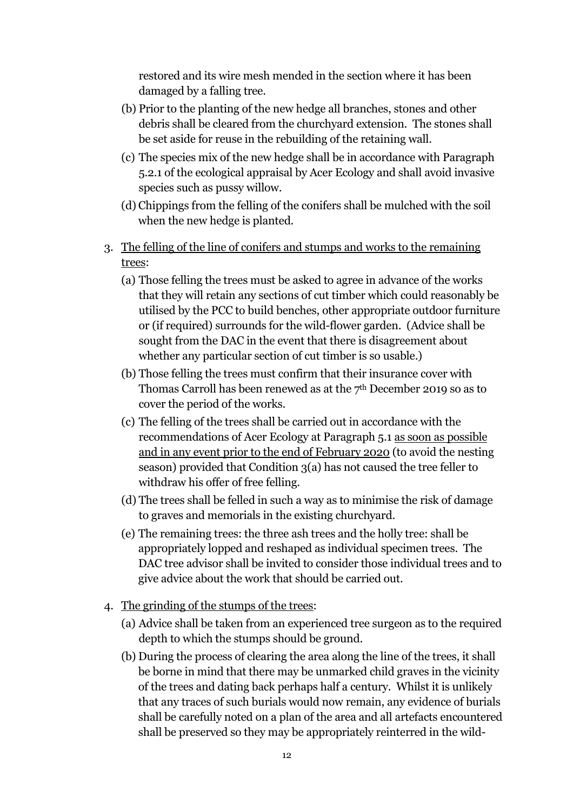restored and its wire mesh mended in the section where it has been damaged by a falling tree.

- (b) Prior to the planting of the new hedge all branches, stones and other debris shall be cleared from the churchyard extension. The stones shall be set aside for reuse in the rebuilding of the retaining wall.
- (c) The species mix of the new hedge shall be in accordance with Paragraph 5.2.1 of the ecological appraisal by Acer Ecology and shall avoid invasive species such as pussy willow.
- (d) Chippings from the felling of the conifers shall be mulched with the soil when the new hedge is planted.
- 3. The felling of the line of conifers and stumps and works to the remaining trees:
	- (a) Those felling the trees must be asked to agree in advance of the works that they will retain any sections of cut timber which could reasonably be utilised by the PCC to build benches, other appropriate outdoor furniture or (if required) surrounds for the wild-flower garden. (Advice shall be sought from the DAC in the event that there is disagreement about whether any particular section of cut timber is so usable.)
	- (b) Those felling the trees must confirm that their insurance cover with Thomas Carroll has been renewed as at the  $7<sup>th</sup>$  December 2019 so as to cover the period of the works.
	- (c) The felling of the trees shall be carried out in accordance with the recommendations of Acer Ecology at Paragraph 5.1 as soon as possible and in any event prior to the end of February 2020 (to avoid the nesting season) provided that Condition 3(a) has not caused the tree feller to withdraw his offer of free felling.
	- (d) The trees shall be felled in such a way as to minimise the risk of damage to graves and memorials in the existing churchyard.
	- (e) The remaining trees: the three ash trees and the holly tree: shall be appropriately lopped and reshaped as individual specimen trees. The DAC tree advisor shall be invited to consider those individual trees and to give advice about the work that should be carried out.
- 4. The grinding of the stumps of the trees:
	- (a) Advice shall be taken from an experienced tree surgeon as to the required depth to which the stumps should be ground.
	- (b) During the process of clearing the area along the line of the trees, it shall be borne in mind that there may be unmarked child graves in the vicinity of the trees and dating back perhaps half a century. Whilst it is unlikely that any traces of such burials would now remain, any evidence of burials shall be carefully noted on a plan of the area and all artefacts encountered shall be preserved so they may be appropriately reinterred in the wild-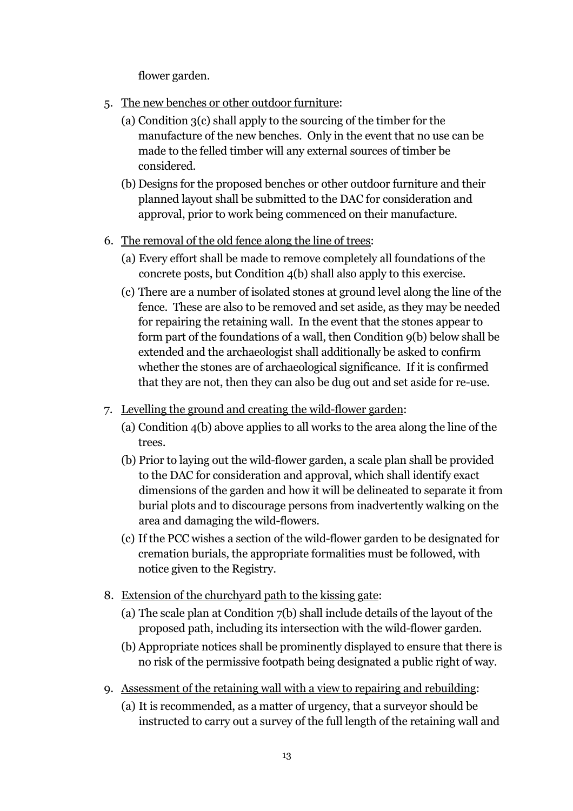flower garden.

- 5. The new benches or other outdoor furniture:
	- (a) Condition 3(c) shall apply to the sourcing of the timber for the manufacture of the new benches. Only in the event that no use can be made to the felled timber will any external sources of timber be considered.
	- (b) Designs for the proposed benches or other outdoor furniture and their planned layout shall be submitted to the DAC for consideration and approval, prior to work being commenced on their manufacture.
- 6. The removal of the old fence along the line of trees:
	- (a) Every effort shall be made to remove completely all foundations of the concrete posts, but Condition 4(b) shall also apply to this exercise.
	- (c) There are a number of isolated stones at ground level along the line of the fence. These are also to be removed and set aside, as they may be needed for repairing the retaining wall. In the event that the stones appear to form part of the foundations of a wall, then Condition 9(b) below shall be extended and the archaeologist shall additionally be asked to confirm whether the stones are of archaeological significance. If it is confirmed that they are not, then they can also be dug out and set aside for re-use.
- 7. Levelling the ground and creating the wild-flower garden:
	- (a) Condition 4(b) above applies to all works to the area along the line of the trees.
	- (b) Prior to laying out the wild-flower garden, a scale plan shall be provided to the DAC for consideration and approval, which shall identify exact dimensions of the garden and how it will be delineated to separate it from burial plots and to discourage persons from inadvertently walking on the area and damaging the wild-flowers.
	- (c) If the PCC wishes a section of the wild-flower garden to be designated for cremation burials, the appropriate formalities must be followed, with notice given to the Registry.
- 8. Extension of the churchyard path to the kissing gate:
	- (a) The scale plan at Condition 7(b) shall include details of the layout of the proposed path, including its intersection with the wild-flower garden.
	- (b) Appropriate notices shall be prominently displayed to ensure that there is no risk of the permissive footpath being designated a public right of way.
- 9. Assessment of the retaining wall with a view to repairing and rebuilding:
	- (a) It is recommended, as a matter of urgency, that a surveyor should be instructed to carry out a survey of the full length of the retaining wall and